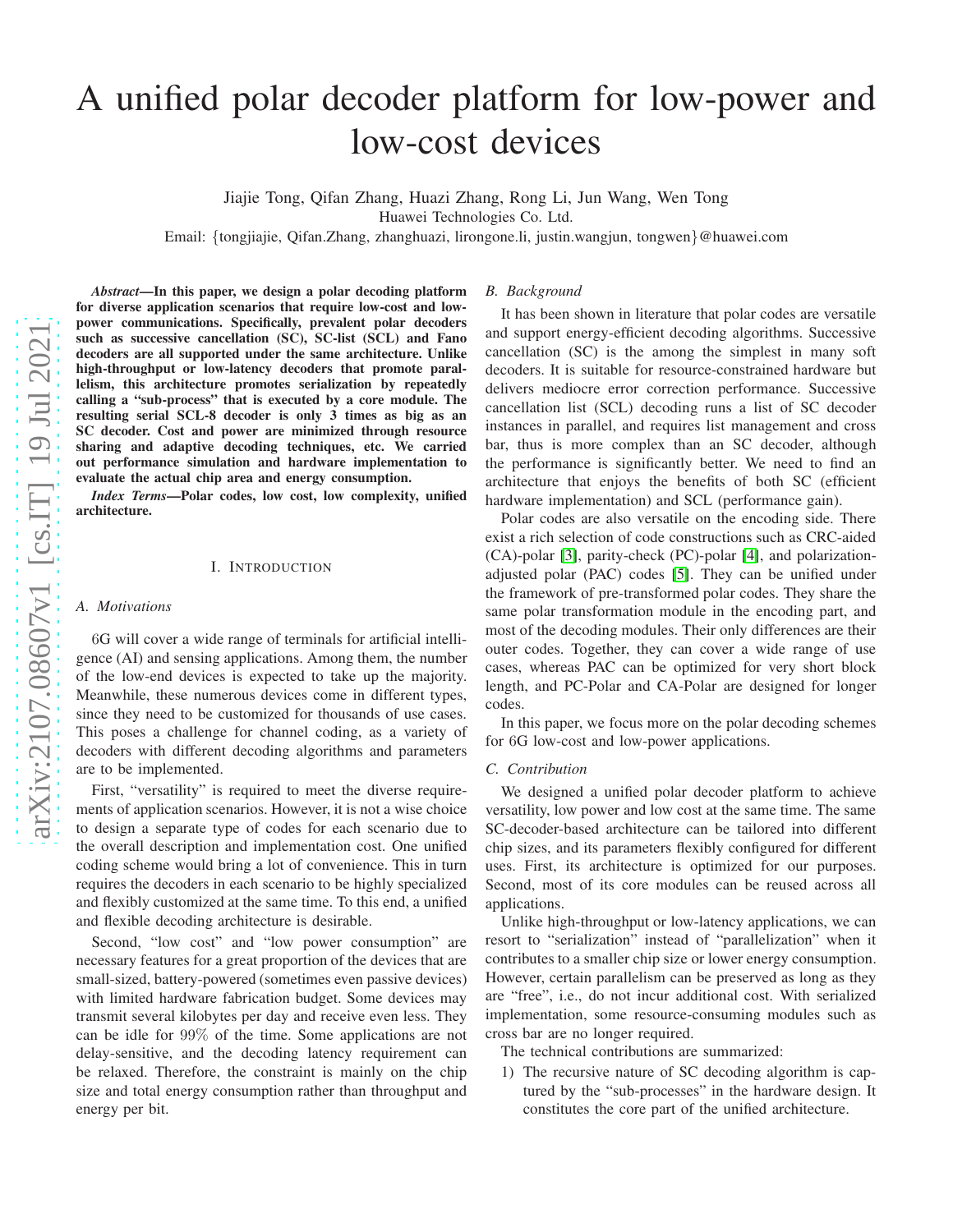# A unified polar decoder platform for low-power and low-cost devices

Jiajie Tong, Qifan Zhang, Huazi Zhang, Rong Li, Jun Wang, Wen Tong Huawei Technologies Co. Ltd.

Email: {tongjiajie, Qifan.Zhang, zhanghuazi, lirongone.li, justin.wangjun, tongwen }@huawei.com

*Abstract*—In this paper, we design a polar decoding platform for diverse application scenarios that require low-cost and lowpower communications. Specifically, prevalent polar decoders such as successive cancellation (SC), SC-list (SCL) and Fano decoders are all supported under the same architecture. Unlike high-throughput or low-latency decoders that promote parallelism, this architecture promotes serialization by repeatedly calling a "sub-process" that is executed by a core module. Th e resulting serial SCL-8 decoder is only 3 times as big as an SC decoder. Cost and power are minimized through resource sharing and adaptive decoding techniques, etc. We carried out performance simulation and hardware implementation to evaluate the actual chip area and energy consumption.

*Index Terms*—Polar codes, low cost, low complexity, unified architecture.

## I. INTRODUCTION

# *A. Motivations*

6G will cover a wide range of terminals for artificial intelligence (AI) and sensing applications. Among them, the number of the low-end devices is expected to take up the majority. Meanwhile, these numerous devices come in different types, since they need to be customized for thousands of use cases. This poses a challenge for channel coding, as a variety of decoders with different decoding algorithms and parameter s are to be implemented.

First, "versatility" is required to meet the diverse requirements of application scenarios. However, it is not a wise choice to design a separate type of codes for each scenario due to the overall description and implementation cost. One unifie d coding scheme would bring a lot of convenience. This in turn requires the decoders in each scenario to be highly specialized and flexibly customized at the same time. To this end, a unified and flexible decoding architecture is desirable.

Second, "low cost" and "low power consumption" are necessary features for a great proportion of the devices that are small-sized, battery-powered (sometimes even passive devices) with limited hardware fabrication budget. Some devices may transmit several kilobytes per day and receive even less. They can be idle for 99% of the time. Some applications are not delay-sensitive, and the decoding latency requirement can be relaxed. Therefore, the constraint is mainly on the chip size and total energy consumption rather than throughput an d energy per bit.

# *B. Background*

It has been shown in literature that polar codes are versatil e and support energy-efficient decoding algorithms. Successive cancellation (SC) is the among the simplest in many soft decoders. It is suitable for resource-constrained hardware but delivers mediocre error correction performance. Successive cancellation list (SCL) decoding runs a list of SC decoder instances in parallel, and requires list management and cross bar, thus is more complex than an SC decoder, although the performance is significantly better. We need to find an architecture that enjoys the benefits of both SC (efficient hardware implementation) and SCL (performance gain).

Polar codes are also versatile on the encoding side. There exist a rich selection of code constructions such as CRC-aided (CA)-polar [\[3\]](#page-5-0), parity-check (PC)-polar [\[4\]](#page-5-1), and polarizationadjusted polar (PAC) codes [\[5\]](#page-5-2). They can be unified under the framework of pre-transformed polar codes. They share th e same polar transformation module in the encoding part, and most of the decoding modules. Their only differences are their outer codes. Together, they can cover a wide range of use cases, whereas PAC can be optimized for very short block length, and PC-Polar and CA-Polar are designed for longer codes.

In this paper, we focus more on the polar decoding schemes for 6G low-cost and low-power applications.

# *C. Contribution*

We designed a unified polar decoder platform to achieve versatility, low power and low cost at the same time. The same SC-decoder-based architecture can be tailored into different chip sizes, and its parameters flexibly configured for different uses. First, its architecture is optimized for our purposes . Second, most of its core modules can be reused across all applications.

Unlike high-throughput or low-latency applications, we ca n resort to "serialization" instead of "parallelization" when it contributes to a smaller chip size or lower energy consumption. However, certain parallelism can be preserved as long as the y are "free", i.e., do not incur additional cost. With serialized implementation, some resource-consuming modules such as cross bar are no longer required.

The technical contributions are summarized:

1) The recursive nature of SC decoding algorithm is captured by the "sub-processes" in the hardware design. It constitutes the core part of the unified architecture.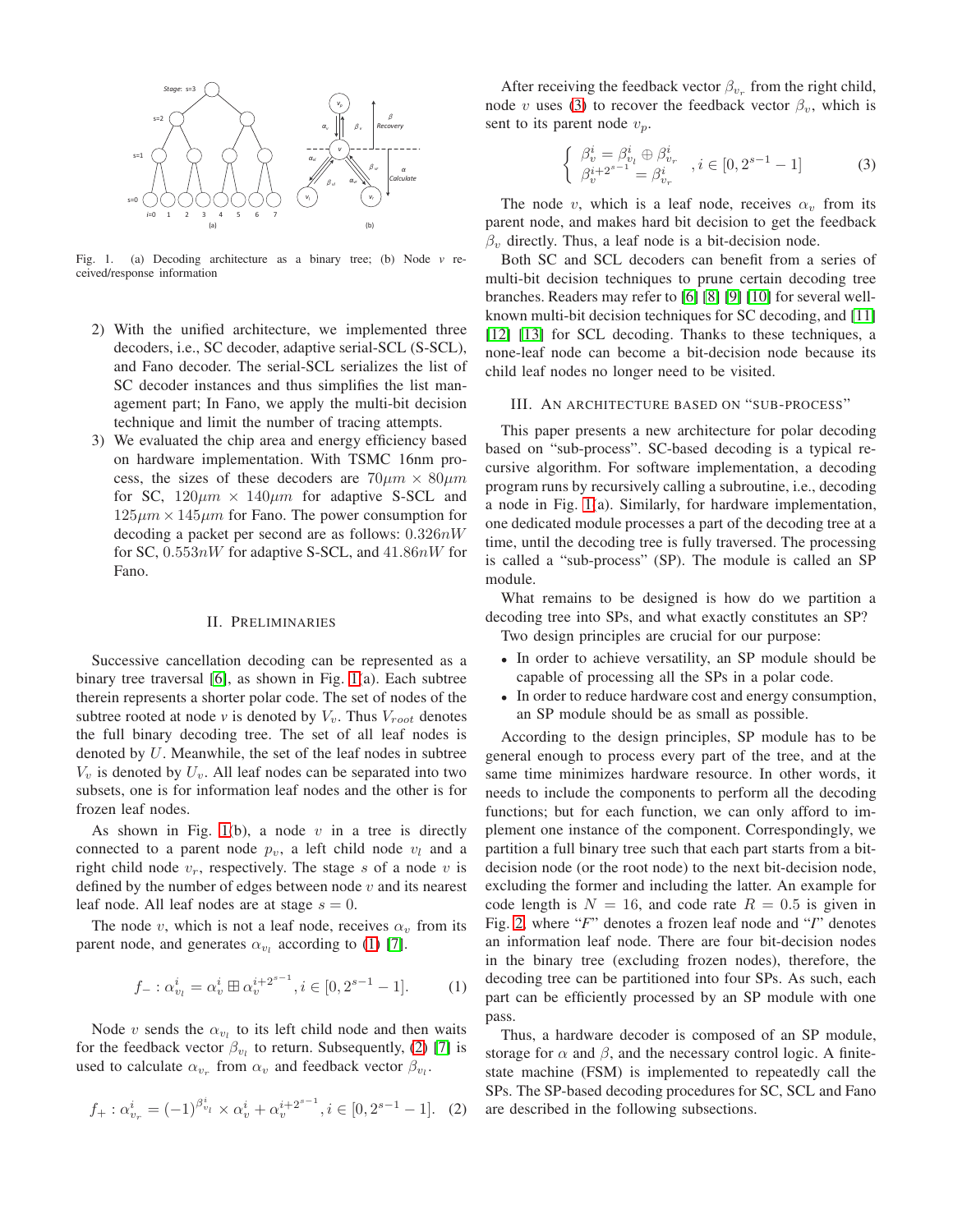

<span id="page-1-0"></span>Fig. 1. (a) Decoding architecture as a binary tree; (b) Node *v* received/response information

- 2) With the unified architecture, we implemented three decoders, i.e., SC decoder, adaptive serial-SCL (S-SCL), and Fano decoder. The serial-SCL serializes the list of SC decoder instances and thus simplifies the list management part; In Fano, we apply the multi-bit decision technique and limit the number of tracing attempts.
- 3) We evaluated the chip area and energy efficiency based on hardware implementation. With TSMC 16nm process, the sizes of these decoders are  $70 \mu m \times 80 \mu m$ for SC,  $120 \mu m \times 140 \mu m$  for adaptive S-SCL and  $125\mu m \times 145\mu m$  for Fano. The power consumption for decoding a packet per second are as follows:  $0.326nW$ for SC,  $0.553nW$  for adaptive S-SCL, and  $41.86nW$  for Fano.

# II. PRELIMINARIES

Successive cancellation decoding can be represented as a binary tree traversal [\[6\]](#page-5-3), as shown in Fig. [1\(](#page-1-0)a). Each subtree therein represents a shorter polar code. The set of nodes of the subtree rooted at node  $v$  is denoted by  $V_v$ . Thus  $V_{root}$  denotes the full binary decoding tree. The set of all leaf nodes is denoted by  $U$ . Meanwhile, the set of the leaf nodes in subtree  $V_v$  is denoted by  $U_v$ . All leaf nodes can be separated into two subsets, one is for information leaf nodes and the other is for frozen leaf nodes.

As shown in Fig. [1\(](#page-1-0)b), a node  $v$  in a tree is directly connected to a parent node  $p_v$ , a left child node  $v_l$  and a right child node  $v_r$ , respectively. The stage s of a node v is defined by the number of edges between node  $v$  and its nearest leaf node. All leaf nodes are at stage  $s = 0$ .

The node v, which is not a leaf node, receives  $\alpha_v$  from its parent node, and generates  $\alpha_{v_l}$  according to [\(1\)](#page-1-1) [\[7\]](#page-5-4).

<span id="page-1-1"></span>
$$
f_-: \alpha_{v_l}^i = \alpha_v^i \boxplus \alpha_v^{i+2^{s-1}}, i \in [0, 2^{s-1} - 1].
$$
 (1)

Node v sends the  $\alpha_{v_l}$  to its left child node and then waits for the feedback vector  $\beta_{v_l}$  to return. Subsequently, [\(2\)](#page-1-2) [\[7\]](#page-5-4) is used to calculate  $\alpha_{v_r}$  from  $\alpha_v$  and feedback vector  $\beta_{v_l}$ .

<span id="page-1-2"></span>
$$
f_{+}: \alpha_{v_r}^i = (-1)^{\beta_{v_l}^i} \times \alpha_v^i + \alpha_v^{i+2^{s-1}}, i \in [0, 2^{s-1}-1]. \tag{2}
$$

After receiving the feedback vector  $\beta_{v_r}$  from the right child, node v uses [\(3\)](#page-1-3) to recover the feedback vector  $\beta_v$ , which is sent to its parent node  $v_p$ .

<span id="page-1-3"></span>
$$
\begin{cases} \n\beta_v^i = \beta_{v_l}^i \oplus \beta_{v_r}^i \\
\beta_v^{i+2^{s-1}} = \beta_{v_r}^i\n\end{cases}, i \in [0, 2^{s-1} - 1] \n\tag{3}
$$

The node v, which is a leaf node, receives  $\alpha_v$  from its parent node, and makes hard bit decision to get the feedback  $\beta_v$  directly. Thus, a leaf node is a bit-decision node.

Both SC and SCL decoders can benefit from a series of multi-bit decision techniques to prune certain decoding tree branches. Readers may refer to [\[6\]](#page-5-3) [\[8\]](#page-5-5) [\[9\]](#page-5-6) [\[10\]](#page-5-7) for several wellknown multi-bit decision techniques for SC decoding, and [\[11\]](#page-5-8) [\[12\]](#page-5-9) [\[13\]](#page-5-10) for SCL decoding. Thanks to these techniques, a none-leaf node can become a bit-decision node because its child leaf nodes no longer need to be visited.

#### III. AN ARCHITECTURE BASED ON "SUB-PROCESS"

This paper presents a new architecture for polar decoding based on "sub-process". SC-based decoding is a typical recursive algorithm. For software implementation, a decoding program runs by recursively calling a subroutine, i.e., decoding a node in Fig. [1\(](#page-1-0)a). Similarly, for hardware implementation, one dedicated module processes a part of the decoding tree at a time, until the decoding tree is fully traversed. The processing is called a "sub-process" (SP). The module is called an SP module.

What remains to be designed is how do we partition a decoding tree into SPs, and what exactly constitutes an SP?

Two design principles are crucial for our purpose:

- In order to achieve versatility, an SP module should be capable of processing all the SPs in a polar code.
- In order to reduce hardware cost and energy consumption, an SP module should be as small as possible.

According to the design principles, SP module has to be general enough to process every part of the tree, and at the same time minimizes hardware resource. In other words, it needs to include the components to perform all the decoding functions; but for each function, we can only afford to implement one instance of the component. Correspondingly, we partition a full binary tree such that each part starts from a bitdecision node (or the root node) to the next bit-decision node, excluding the former and including the latter. An example for code length is  $N = 16$ , and code rate  $R = 0.5$  is given in Fig. [2,](#page-2-0) where "*F*" denotes a frozen leaf node and "*I*" denotes an information leaf node. There are four bit-decision nodes in the binary tree (excluding frozen nodes), therefore, the decoding tree can be partitioned into four SPs. As such, each part can be efficiently processed by an SP module with one pass.

Thus, a hardware decoder is composed of an SP module, storage for  $\alpha$  and  $\beta$ , and the necessary control logic. A finitestate machine (FSM) is implemented to repeatedly call the SPs. The SP-based decoding procedures for SC, SCL and Fano are described in the following subsections.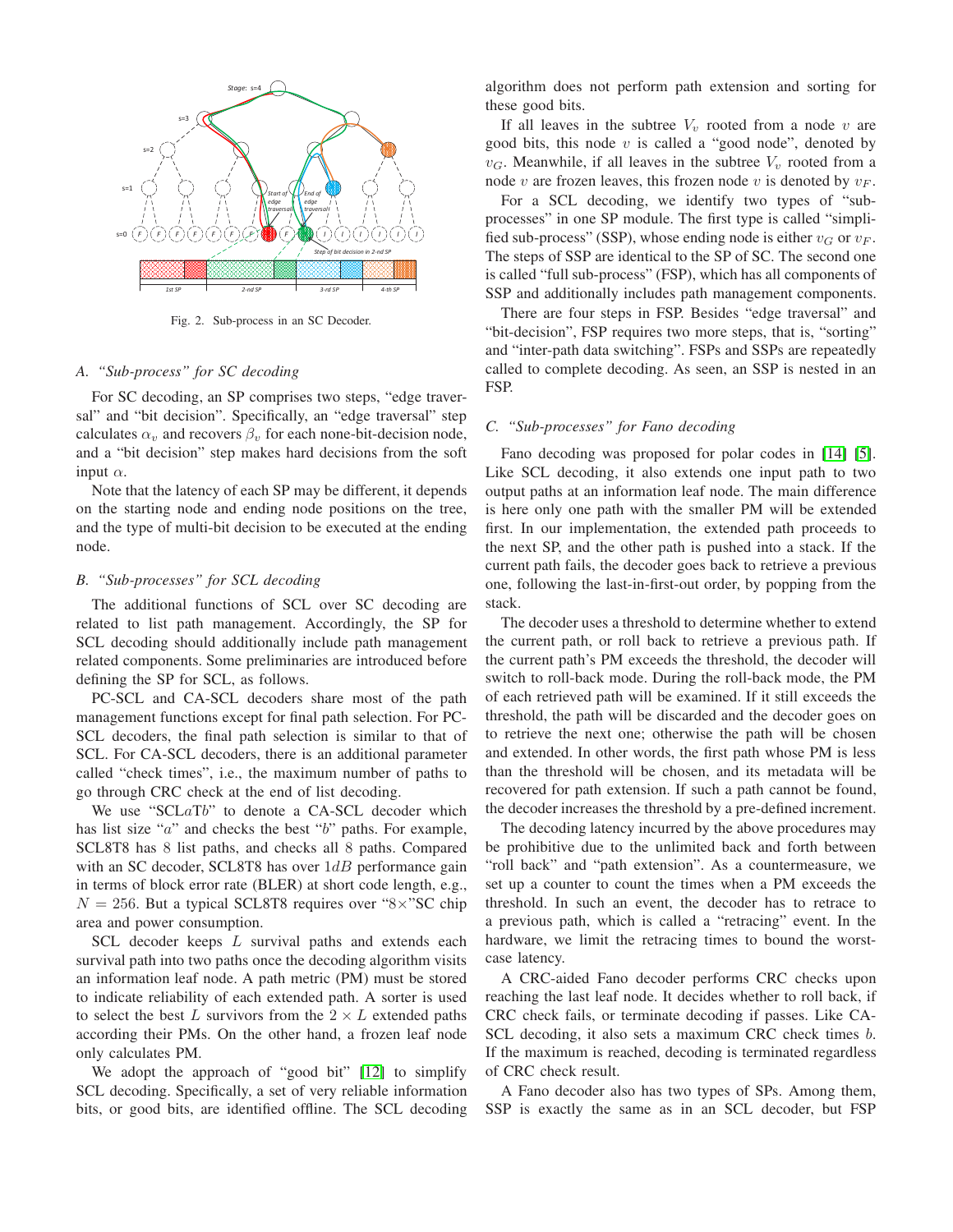

<span id="page-2-0"></span>Fig. 2. Sub-process in an SC Decoder.

#### *A. "Sub-process" for SC decoding*

For SC decoding, an SP comprises two steps, "edge traversal" and "bit decision". Specifically, an "edge traversal" step calculates  $\alpha_v$  and recovers  $\beta_v$  for each none-bit-decision node, and a "bit decision" step makes hard decisions from the soft input  $\alpha$ .

Note that the latency of each SP may be different, it depends on the starting node and ending node positions on the tree, and the type of multi-bit decision to be executed at the ending node.

# *B. "Sub-processes" for SCL decoding*

The additional functions of SCL over SC decoding are related to list path management. Accordingly, the SP for SCL decoding should additionally include path management related components. Some preliminaries are introduced before defining the SP for SCL, as follows.

PC-SCL and CA-SCL decoders share most of the path management functions except for final path selection. For PC-SCL decoders, the final path selection is similar to that of SCL. For CA-SCL decoders, there is an additional parameter called "check times", i.e., the maximum number of paths to go through CRC check at the end of list decoding.

We use "SCLaTb" to denote a CA-SCL decoder which has list size "a" and checks the best "b" paths. For example, SCL8T8 has 8 list paths, and checks all 8 paths. Compared with an SC decoder, SCL8T8 has over  $1dB$  performance gain in terms of block error rate (BLER) at short code length, e.g.,  $N = 256$ . But a typical SCL8T8 requires over "8×"SC chip area and power consumption.

SCL decoder keeps L survival paths and extends each survival path into two paths once the decoding algorithm visits an information leaf node. A path metric (PM) must be stored to indicate reliability of each extended path. A sorter is used to select the best L survivors from the  $2 \times L$  extended paths according their PMs. On the other hand, a frozen leaf node only calculates PM.

We adopt the approach of "good bit" [\[12\]](#page-5-9) to simplify SCL decoding. Specifically, a set of very reliable information bits, or good bits, are identified offline. The SCL decoding algorithm does not perform path extension and sorting for these good bits.

If all leaves in the subtree  $V_v$  rooted from a node v are good bits, this node  $v$  is called a "good node", denoted by  $v_G$ . Meanwhile, if all leaves in the subtree  $V_v$  rooted from a node v are frozen leaves, this frozen node v is denoted by  $v_F$ .

For a SCL decoding, we identify two types of "subprocesses" in one SP module. The first type is called "simplified sub-process" (SSP), whose ending node is either  $v_G$  or  $v_F$ . The steps of SSP are identical to the SP of SC. The second one is called "full sub-process" (FSP), which has all components of SSP and additionally includes path management components.

There are four steps in FSP. Besides "edge traversal" and "bit-decision", FSP requires two more steps, that is, "sorting" and "inter-path data switching". FSPs and SSPs are repeatedly called to complete decoding. As seen, an SSP is nested in an FSP.

## *C. "Sub-processes" for Fano decoding*

Fano decoding was proposed for polar codes in [\[14\]](#page-5-11) [\[5\]](#page-5-2). Like SCL decoding, it also extends one input path to two output paths at an information leaf node. The main difference is here only one path with the smaller PM will be extended first. In our implementation, the extended path proceeds to the next SP, and the other path is pushed into a stack. If the current path fails, the decoder goes back to retrieve a previous one, following the last-in-first-out order, by popping from the stack.

The decoder uses a threshold to determine whether to extend the current path, or roll back to retrieve a previous path. If the current path's PM exceeds the threshold, the decoder will switch to roll-back mode. During the roll-back mode, the PM of each retrieved path will be examined. If it still exceeds the threshold, the path will be discarded and the decoder goes on to retrieve the next one; otherwise the path will be chosen and extended. In other words, the first path whose PM is less than the threshold will be chosen, and its metadata will be recovered for path extension. If such a path cannot be found, the decoder increases the threshold by a pre-defined increment.

The decoding latency incurred by the above procedures may be prohibitive due to the unlimited back and forth between "roll back" and "path extension". As a countermeasure, we set up a counter to count the times when a PM exceeds the threshold. In such an event, the decoder has to retrace to a previous path, which is called a "retracing" event. In the hardware, we limit the retracing times to bound the worstcase latency.

A CRC-aided Fano decoder performs CRC checks upon reaching the last leaf node. It decides whether to roll back, if CRC check fails, or terminate decoding if passes. Like CA-SCL decoding, it also sets a maximum CRC check times b. If the maximum is reached, decoding is terminated regardless of CRC check result.

A Fano decoder also has two types of SPs. Among them, SSP is exactly the same as in an SCL decoder, but FSP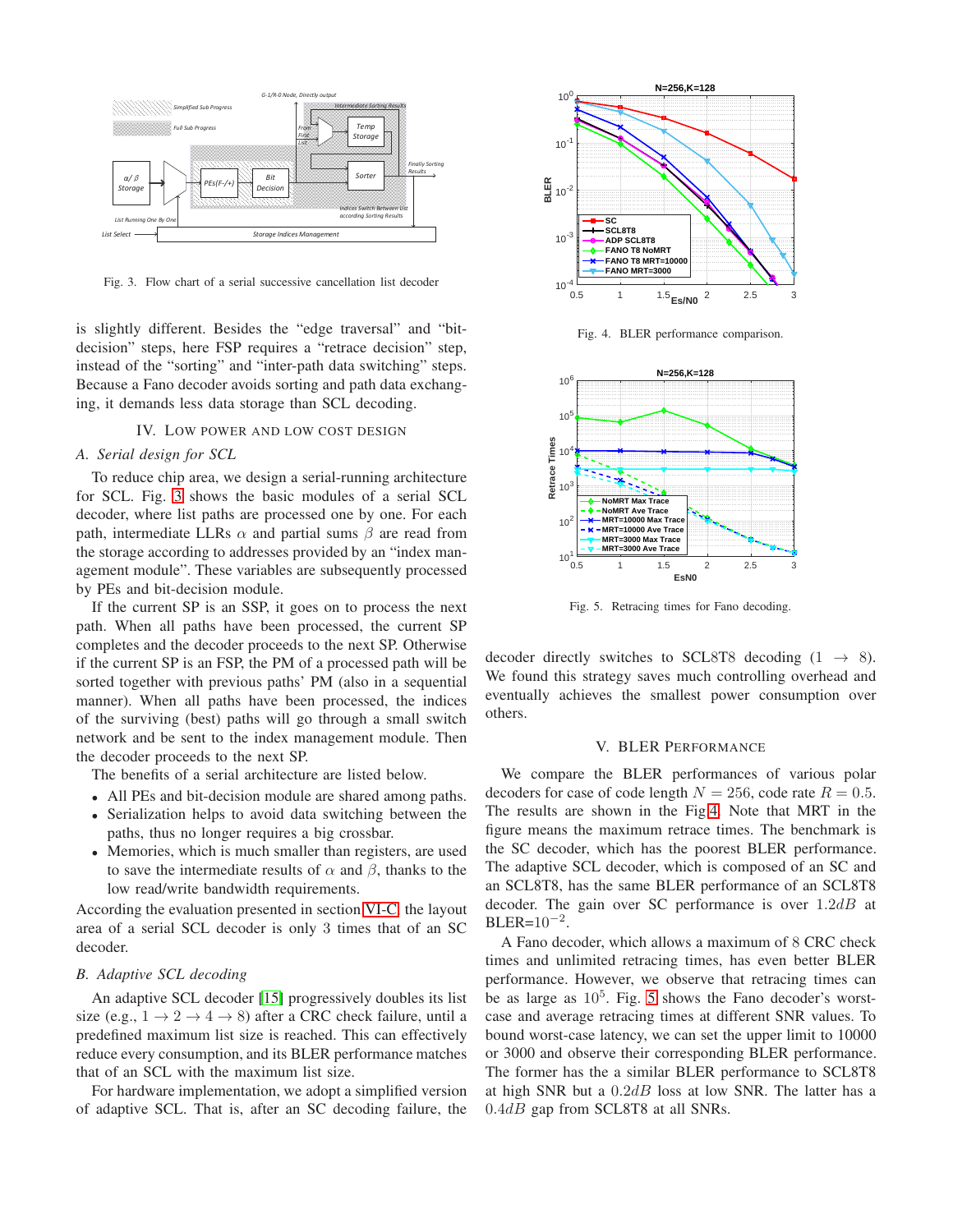

<span id="page-3-0"></span>Fig. 3. Flow chart of a serial successive cancellation list decoder

is slightly different. Besides the "edge traversal" and "bitdecision" steps, here FSP requires a "retrace decision" step, instead of the "sorting" and "inter-path data switching" steps. Because a Fano decoder avoids sorting and path data exchanging, it demands less data storage than SCL decoding.

# IV. LOW POWER AND LOW COST DESIGN

# *A. Serial design for SCL*

To reduce chip area, we design a serial-running architecture for SCL. Fig. [3](#page-3-0) shows the basic modules of a serial SCL decoder, where list paths are processed one by one. For each path, intermediate LLRs  $\alpha$  and partial sums  $\beta$  are read from the storage according to addresses provided by an "index management module". These variables are subsequently processed by PEs and bit-decision module.

If the current SP is an SSP, it goes on to process the next path. When all paths have been processed, the current SP completes and the decoder proceeds to the next SP. Otherwise if the current SP is an FSP, the PM of a processed path will be sorted together with previous paths' PM (also in a sequential manner). When all paths have been processed, the indices of the surviving (best) paths will go through a small switch network and be sent to the index management module. Then the decoder proceeds to the next SP.

The benefits of a serial architecture are listed below.

- All PEs and bit-decision module are shared among paths.
- Serialization helps to avoid data switching between the paths, thus no longer requires a big crossbar.
- Memories, which is much smaller than registers, are used to save the intermediate results of  $\alpha$  and  $\beta$ , thanks to the low read/write bandwidth requirements.

According the evaluation presented in section [VI-C,](#page-4-0) the layout area of a serial SCL decoder is only 3 times that of an SC decoder.

# *B. Adaptive SCL decoding*

An adaptive SCL decoder [\[15\]](#page-5-12) progressively doubles its list size (e.g.,  $1 \rightarrow 2 \rightarrow 4 \rightarrow 8$ ) after a CRC check failure, until a predefined maximum list size is reached. This can effectively reduce every consumption, and its BLER performance matches that of an SCL with the maximum list size.

For hardware implementation, we adopt a simplified version of adaptive SCL. That is, after an SC decoding failure, the



<span id="page-3-1"></span>Fig. 4. BLER performance comparison.



<span id="page-3-2"></span>Fig. 5. Retracing times for Fano decoding.

decoder directly switches to SCL8T8 decoding  $(1 \rightarrow 8)$ . We found this strategy saves much controlling overhead and eventually achieves the smallest power consumption over others.

## V. BLER PERFORMANCE

We compare the BLER performances of various polar decoders for case of code length  $N = 256$ , code rate  $R = 0.5$ . The results are shown in the Fig[.4.](#page-3-1) Note that MRT in the figure means the maximum retrace times. The benchmark is the SC decoder, which has the poorest BLER performance. The adaptive SCL decoder, which is composed of an SC and an SCL8T8, has the same BLER performance of an SCL8T8 decoder. The gain over SC performance is over  $1.2dB$  at  $BLER=10^{-2}$ .

A Fano decoder, which allows a maximum of 8 CRC check times and unlimited retracing times, has even better BLER performance. However, we observe that retracing times can be as large as  $10^5$ . Fig. [5](#page-3-2) shows the Fano decoder's worstcase and average retracing times at different SNR values. To bound worst-case latency, we can set the upper limit to 10000 or 3000 and observe their corresponding BLER performance. The former has the a similar BLER performance to SCL8T8 at high SNR but a  $0.2dB$  loss at low SNR. The latter has a  $0.4dB$  gap from SCL8T8 at all SNRs.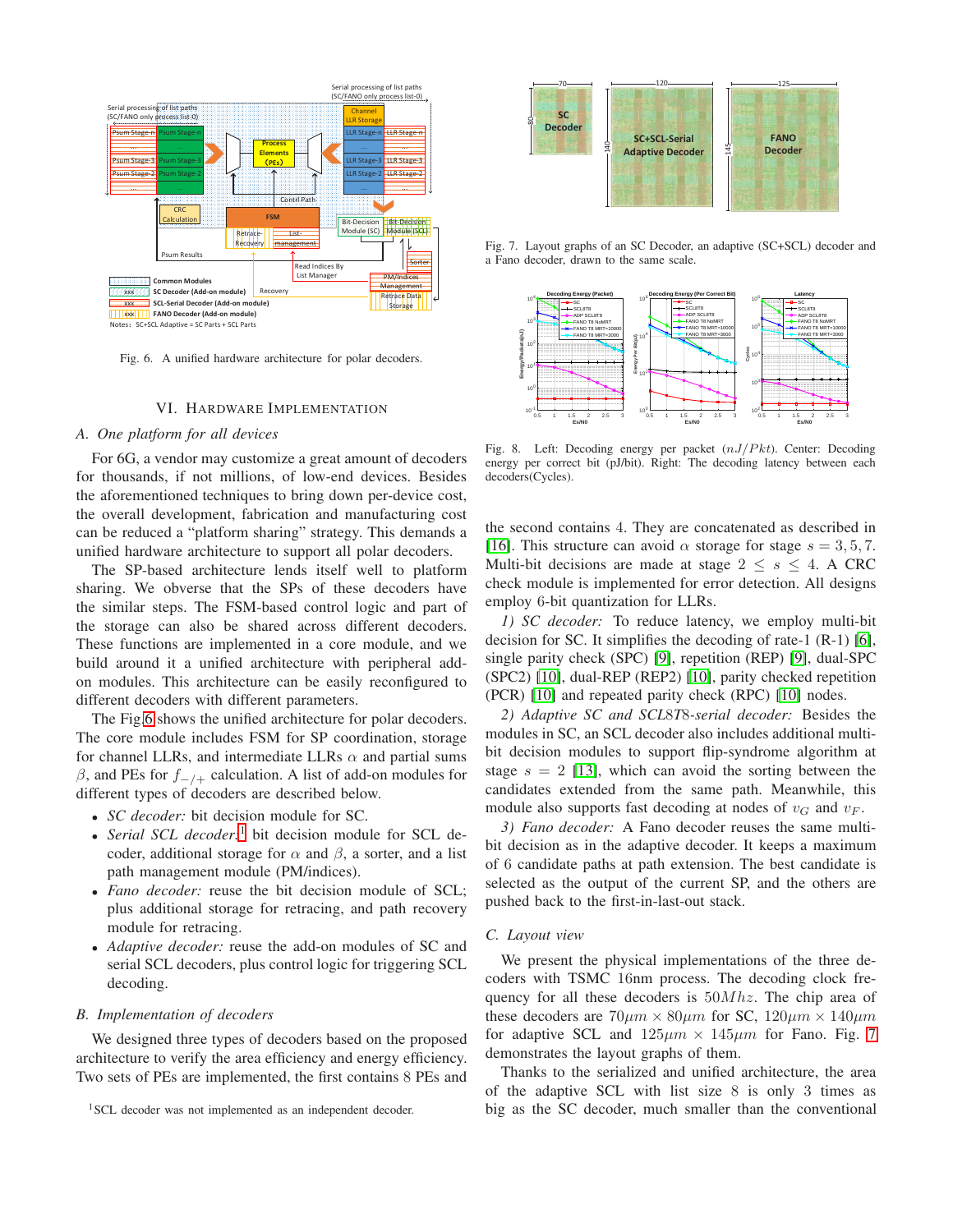

Fig. 6. A unified hardware architecture for polar decoders.

# <span id="page-4-1"></span>VI. HARDWARE IMPLEMENTATION

# *A. One platform for all devices*

For 6G, a vendor may customize a great amount of decoders for thousands, if not millions, of low-end devices. Besides the aforementioned techniques to bring down per-device cost, the overall development, fabrication and manufacturing cost can be reduced a "platform sharing" strategy. This demands a unified hardware architecture to support all polar decoders.

The SP-based architecture lends itself well to platform sharing. We obverse that the SPs of these decoders have the similar steps. The FSM-based control logic and part of the storage can also be shared across different decoders. These functions are implemented in a core module, and we build around it a unified architecture with peripheral addon modules. This architecture can be easily reconfigured to different decoders with different parameters.

The Fig[.6](#page-4-1) shows the unified architecture for polar decoders. The core module includes FSM for SP coordination, storage for channel LLRs, and intermediate LLRs  $\alpha$  and partial sums β, and PEs for  $f_{-/-}$  calculation. A list of add-on modules for different types of decoders are described below.

- *SC decoder:* bit decision module for SC.
- *Serial SCL decoder:*[1](#page-4-2) bit decision module for SCL decoder, additional storage for  $\alpha$  and  $\beta$ , a sorter, and a list path management module (PM/indices).
- *Fano decoder:* reuse the bit decision module of SCL; plus additional storage for retracing, and path recovery module for retracing.
- *Adaptive decoder:* reuse the add-on modules of SC and serial SCL decoders, plus control logic for triggering SCL decoding.

### *B. Implementation of decoders*

We designed three types of decoders based on the proposed architecture to verify the area efficiency and energy efficiency. Two sets of PEs are implemented, the first contains 8 PEs and



Fig. 7. Layout graphs of an SC Decoder, an adaptive (SC+SCL) decoder and a Fano decoder, drawn to the same scale.

<span id="page-4-3"></span>

<span id="page-4-4"></span>Fig. 8. Left: Decoding energy per packet  $(nJ/Pkt)$ . Center: Decoding energy per correct bit (pJ/bit). Right: The decoding latency between each decoders(Cycles).

the second contains 4. They are concatenated as described in [\[16\]](#page-5-13). This structure can avoid  $\alpha$  storage for stage  $s = 3, 5, 7$ . Multi-bit decisions are made at stage  $2 \leq s \leq 4$ . A CRC check module is implemented for error detection. All designs employ 6-bit quantization for LLRs.

*1) SC decoder:* To reduce latency, we employ multi-bit decision for SC. It simplifies the decoding of rate-1 (R-1) [\[6\]](#page-5-3), single parity check (SPC) [\[9\]](#page-5-6), repetition (REP) [\[9\]](#page-5-6), dual-SPC (SPC2) [\[10\]](#page-5-7), dual-REP (REP2) [\[10\]](#page-5-7), parity checked repetition (PCR) [\[10\]](#page-5-7) and repeated parity check (RPC) [\[10\]](#page-5-7) nodes.

*2) Adaptive SC and SCL*8*T*8*-serial decoder:* Besides the modules in SC, an SCL decoder also includes additional multibit decision modules to support flip-syndrome algorithm at stage  $s = 2$  [\[13\]](#page-5-10), which can avoid the sorting between the candidates extended from the same path. Meanwhile, this module also supports fast decoding at nodes of  $v_G$  and  $v_F$ .

*3) Fano decoder:* A Fano decoder reuses the same multibit decision as in the adaptive decoder. It keeps a maximum of 6 candidate paths at path extension. The best candidate is selected as the output of the current SP, and the others are pushed back to the first-in-last-out stack.

### <span id="page-4-0"></span>*C. Layout view*

We present the physical implementations of the three decoders with TSMC 16nm process. The decoding clock frequency for all these decoders is  $50Mhz$ . The chip area of these decoders are  $70 \mu m \times 80 \mu m$  for SC,  $120 \mu m \times 140 \mu m$ for adaptive SCL and  $125\mu m \times 145\mu m$  for Fano. Fig. [7](#page-4-3) demonstrates the layout graphs of them.

Thanks to the serialized and unified architecture, the area of the adaptive SCL with list size 8 is only 3 times as big as the SC decoder, much smaller than the conventional

<span id="page-4-2"></span><sup>&</sup>lt;sup>1</sup>SCL decoder was not implemented as an independent decoder.